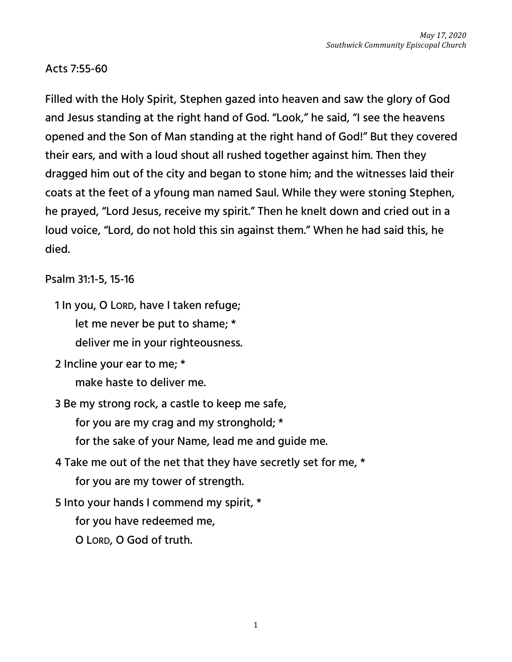## Acts 7:55-60

Filled with the Holy Spirit, Stephen gazed into heaven and saw the glory of God and Jesus standing at the right hand of God. "Look," he said, "I see the heavens opened and the Son of Man standing at the right hand of God!" But they covered their ears, and with a loud shout all rushed together against him. Then they dragged him out of the city and began to stone him; and the witnesses laid their coats at the feet of a yfoung man named Saul. While they were stoning Stephen, he prayed, "Lord Jesus, receive my spirit." Then he knelt down and cried out in a loud voice, "Lord, do not hold this sin against them." When he had said this, he died.

## Psalm 31:1-5, 15-16

1 In you, O LORD, have I taken refuge; let me never be put to shame; \* deliver me in your righteousness.

2 Incline your ear to me; \*

make haste to deliver me.

3 Be my strong rock, a castle to keep me safe,

for you are my crag and my stronghold; \*

for the sake of your Name, lead me and guide me.

4 Take me out of the net that they have secretly set for me, \* for you are my tower of strength.

5 Into your hands I commend my spirit, \*

for you have redeemed me,

O LORD, O God of truth.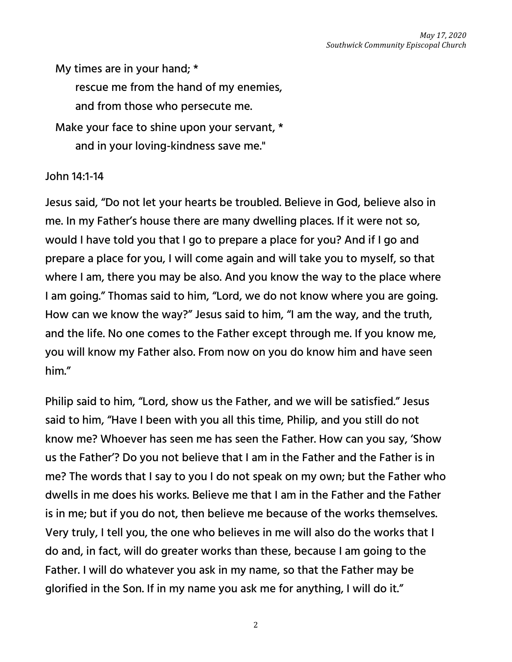My times are in your hand; \* rescue me from the hand of my enemies, and from those who persecute me. Make your face to shine upon your servant, \* and in your loving-kindness save me."

## John 14:1-14

Jesus said, "Do not let your hearts be troubled. Believe in God, believe also in me. In my Father's house there are many dwelling places. If it were not so, would I have told you that I go to prepare a place for you? And if I go and prepare a place for you, I will come again and will take you to myself, so that where I am, there you may be also. And you know the way to the place where I am going." Thomas said to him, "Lord, we do not know where you are going. How can we know the way?" Jesus said to him, "I am the way, and the truth, and the life. No one comes to the Father except through me. If you know me, you will know my Father also. From now on you do know him and have seen him."

Philip said to him, "Lord, show us the Father, and we will be satisfied." Jesus said to him, "Have I been with you all this time, Philip, and you still do not know me? Whoever has seen me has seen the Father. How can you say, 'Show us the Father'? Do you not believe that I am in the Father and the Father is in me? The words that I say to you I do not speak on my own; but the Father who dwells in me does his works. Believe me that I am in the Father and the Father is in me; but if you do not, then believe me because of the works themselves. Very truly, I tell you, the one who believes in me will also do the works that I do and, in fact, will do greater works than these, because I am going to the Father. I will do whatever you ask in my name, so that the Father may be glorified in the Son. If in my name you ask me for anything, I will do it."

2